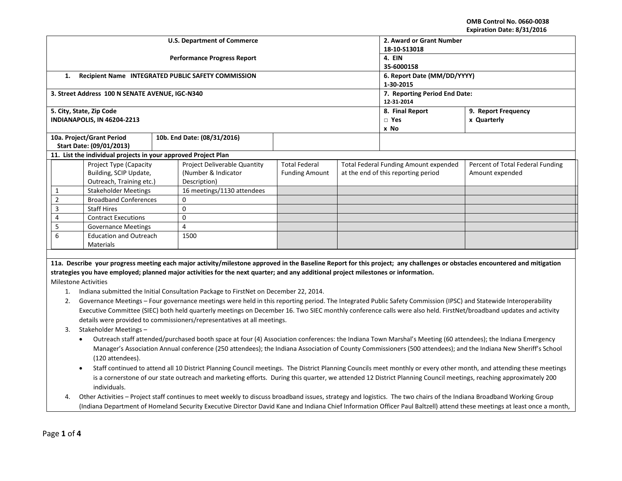**OMB Control No. 0660-0038 Expiration Date: 8/31/2016**

|                                                                                                                                                                          | Expiration Date: 6/31/2010                                                                                                                                                       |  |                                                                                                                                    |                                             |            |                                       |                                                                                                                                                                            |  |
|--------------------------------------------------------------------------------------------------------------------------------------------------------------------------|----------------------------------------------------------------------------------------------------------------------------------------------------------------------------------|--|------------------------------------------------------------------------------------------------------------------------------------|---------------------------------------------|------------|---------------------------------------|----------------------------------------------------------------------------------------------------------------------------------------------------------------------------|--|
|                                                                                                                                                                          |                                                                                                                                                                                  |  | <b>U.S. Department of Commerce</b>                                                                                                 | 2. Award or Grant Number                    |            |                                       |                                                                                                                                                                            |  |
|                                                                                                                                                                          |                                                                                                                                                                                  |  |                                                                                                                                    | 18-10-S13018                                |            |                                       |                                                                                                                                                                            |  |
|                                                                                                                                                                          |                                                                                                                                                                                  |  | <b>Performance Progress Report</b>                                                                                                 | 4. EIN                                      |            |                                       |                                                                                                                                                                            |  |
|                                                                                                                                                                          |                                                                                                                                                                                  |  |                                                                                                                                    | 35-6000158                                  |            |                                       |                                                                                                                                                                            |  |
| 1.                                                                                                                                                                       |                                                                                                                                                                                  |  | Recipient Name INTEGRATED PUBLIC SAFETY COMMISSION                                                                                 | 6. Report Date (MM/DD/YYYY)                 |            |                                       |                                                                                                                                                                            |  |
|                                                                                                                                                                          |                                                                                                                                                                                  |  |                                                                                                                                    |                                             | 1-30-2015  |                                       |                                                                                                                                                                            |  |
|                                                                                                                                                                          | 3. Street Address 100 N SENATE AVENUE, IGC-N340                                                                                                                                  |  |                                                                                                                                    | 7. Reporting Period End Date:<br>12-31-2014 |            |                                       |                                                                                                                                                                            |  |
| 5. City, State, Zip Code                                                                                                                                                 |                                                                                                                                                                                  |  |                                                                                                                                    | 8. Final Report<br>9. Report Frequency      |            |                                       |                                                                                                                                                                            |  |
|                                                                                                                                                                          | INDIANAPOLIS, IN 46204-2213                                                                                                                                                      |  |                                                                                                                                    |                                             | $\Box$ Yes | x Quarterly                           |                                                                                                                                                                            |  |
|                                                                                                                                                                          |                                                                                                                                                                                  |  |                                                                                                                                    |                                             |            | x No                                  |                                                                                                                                                                            |  |
|                                                                                                                                                                          | 10a. Project/Grant Period                                                                                                                                                        |  | 10b. End Date: (08/31/2016)                                                                                                        |                                             |            |                                       |                                                                                                                                                                            |  |
|                                                                                                                                                                          | Start Date: (09/01/2013)                                                                                                                                                         |  |                                                                                                                                    |                                             |            |                                       |                                                                                                                                                                            |  |
|                                                                                                                                                                          | 11. List the individual projects in your approved Project Plan                                                                                                                   |  |                                                                                                                                    |                                             |            |                                       |                                                                                                                                                                            |  |
|                                                                                                                                                                          | Project Type (Capacity                                                                                                                                                           |  | Project Deliverable Quantity                                                                                                       | <b>Total Federal</b>                        |            | Total Federal Funding Amount expended | Percent of Total Federal Funding                                                                                                                                           |  |
|                                                                                                                                                                          | Building, SCIP Update,                                                                                                                                                           |  | (Number & Indicator                                                                                                                | <b>Funding Amount</b>                       |            | at the end of this reporting period   | Amount expended                                                                                                                                                            |  |
|                                                                                                                                                                          | Outreach, Training etc.)                                                                                                                                                         |  | Description)                                                                                                                       |                                             |            |                                       |                                                                                                                                                                            |  |
| 1                                                                                                                                                                        | <b>Stakeholder Meetings</b>                                                                                                                                                      |  | 16 meetings/1130 attendees                                                                                                         |                                             |            |                                       |                                                                                                                                                                            |  |
| $\overline{2}$                                                                                                                                                           | <b>Broadband Conferences</b>                                                                                                                                                     |  | 0                                                                                                                                  |                                             |            |                                       |                                                                                                                                                                            |  |
| 3                                                                                                                                                                        | <b>Staff Hires</b>                                                                                                                                                               |  | $\mathbf{0}$                                                                                                                       |                                             |            |                                       |                                                                                                                                                                            |  |
| 4                                                                                                                                                                        | <b>Contract Executions</b>                                                                                                                                                       |  | $\mathbf 0$                                                                                                                        |                                             |            |                                       |                                                                                                                                                                            |  |
| 5                                                                                                                                                                        | <b>Governance Meetings</b>                                                                                                                                                       |  | 4                                                                                                                                  |                                             |            |                                       |                                                                                                                                                                            |  |
| 6                                                                                                                                                                        | <b>Education and Outreach</b>                                                                                                                                                    |  | 1500                                                                                                                               |                                             |            |                                       |                                                                                                                                                                            |  |
|                                                                                                                                                                          | Materials                                                                                                                                                                        |  |                                                                                                                                    |                                             |            |                                       |                                                                                                                                                                            |  |
|                                                                                                                                                                          |                                                                                                                                                                                  |  |                                                                                                                                    |                                             |            |                                       |                                                                                                                                                                            |  |
|                                                                                                                                                                          |                                                                                                                                                                                  |  |                                                                                                                                    |                                             |            |                                       | 11a. Describe your progress meeting each major activity/milestone approved in the Baseline Report for this project; any challenges or obstacles encountered and mitigation |  |
|                                                                                                                                                                          |                                                                                                                                                                                  |  | strategies you have employed; planned major activities for the next quarter; and any additional project milestones or information. |                                             |            |                                       |                                                                                                                                                                            |  |
| <b>Milestone Activities</b>                                                                                                                                              |                                                                                                                                                                                  |  |                                                                                                                                    |                                             |            |                                       |                                                                                                                                                                            |  |
| 1.                                                                                                                                                                       |                                                                                                                                                                                  |  | Indiana submitted the Initial Consultation Package to FirstNet on December 22, 2014.                                               |                                             |            |                                       |                                                                                                                                                                            |  |
| 2.                                                                                                                                                                       | Governance Meetings - Four governance meetings were held in this reporting period. The Integrated Public Safety Commission (IPSC) and Statewide Interoperability                 |  |                                                                                                                                    |                                             |            |                                       |                                                                                                                                                                            |  |
|                                                                                                                                                                          | Executive Committee (SIEC) both held quarterly meetings on December 16. Two SIEC monthly conference calls were also held. FirstNet/broadband updates and activity                |  |                                                                                                                                    |                                             |            |                                       |                                                                                                                                                                            |  |
| details were provided to commissioners/representatives at all meetings.                                                                                                  |                                                                                                                                                                                  |  |                                                                                                                                    |                                             |            |                                       |                                                                                                                                                                            |  |
| 3.<br>Stakeholder Meetings -                                                                                                                                             |                                                                                                                                                                                  |  |                                                                                                                                    |                                             |            |                                       |                                                                                                                                                                            |  |
| Outreach staff attended/purchased booth space at four (4) Association conferences: the Indiana Town Marshal's Meeting (60 attendees); the Indiana Emergency<br>$\bullet$ |                                                                                                                                                                                  |  |                                                                                                                                    |                                             |            |                                       |                                                                                                                                                                            |  |
|                                                                                                                                                                          |                                                                                                                                                                                  |  |                                                                                                                                    |                                             |            |                                       |                                                                                                                                                                            |  |
| Manager's Association Annual conference (250 attendees); the Indiana Association of County Commissioners (500 attendees); and the Indiana New Sheriff's School           |                                                                                                                                                                                  |  |                                                                                                                                    |                                             |            |                                       |                                                                                                                                                                            |  |
|                                                                                                                                                                          | (120 attendees).                                                                                                                                                                 |  |                                                                                                                                    |                                             |            |                                       |                                                                                                                                                                            |  |
|                                                                                                                                                                          | Staff continued to attend all 10 District Planning Council meetings. The District Planning Councils meet monthly or every other month, and attending these meetings<br>$\bullet$ |  |                                                                                                                                    |                                             |            |                                       |                                                                                                                                                                            |  |
| is a cornerstone of our state outreach and marketing efforts. During this quarter, we attended 12 District Planning Council meetings, reaching approximately 200         |                                                                                                                                                                                  |  |                                                                                                                                    |                                             |            |                                       |                                                                                                                                                                            |  |
|                                                                                                                                                                          | individuals.                                                                                                                                                                     |  |                                                                                                                                    |                                             |            |                                       |                                                                                                                                                                            |  |
| 4.                                                                                                                                                                       | Other Activities - Project staff continues to meet weekly to discuss broadband issues, strategy and logistics. The two chairs of the Indiana Broadband Working Group             |  |                                                                                                                                    |                                             |            |                                       |                                                                                                                                                                            |  |
|                                                                                                                                                                          | (Indiana Department of Homeland Security Executive Director David Kane and Indiana Chief Information Officer Paul Baltzell) attend these meetings at least once a month,         |  |                                                                                                                                    |                                             |            |                                       |                                                                                                                                                                            |  |
|                                                                                                                                                                          |                                                                                                                                                                                  |  |                                                                                                                                    |                                             |            |                                       |                                                                                                                                                                            |  |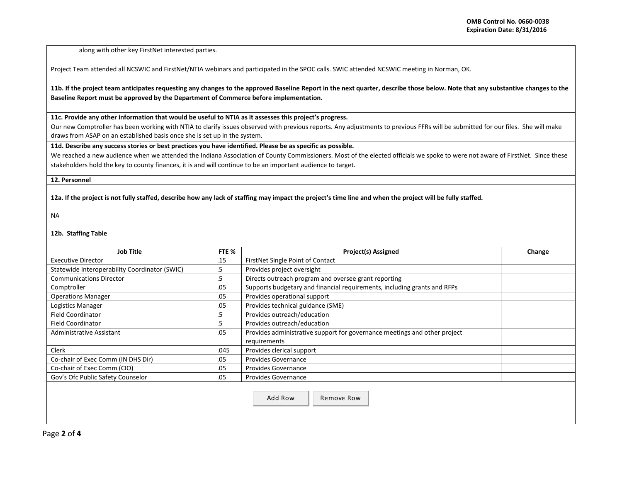along with other key FirstNet interested parties.

Project Team attended all NCSWIC and FirstNet/NTIA webinars and participated in the SPOC calls. SWIC attended NCSWIC meeting in Norman, OK.

## **11b. If the project team anticipates requesting any changes to the approved Baseline Report in the next quarter, describe those below. Note that any substantive changes to the Baseline Report must be approved by the Department of Commerce before implementation.**

**11c. Provide any other information that would be useful to NTIA as it assesses this project's progress.** 

Our new Comptroller has been working with NTIA to clarify issues observed with previous reports. Any adjustments to previous FFRs will be submitted for our files. She will make draws from ASAP on an established basis once she is set up in the system.

**11d. Describe any success stories or best practices you have identified. Please be as specific as possible.**

We reached a new audience when we attended the Indiana Association of County Commissioners. Most of the elected officials we spoke to were not aware of FirstNet. Since these stakeholders hold the key to county finances, it is and will continue to be an important audience to target.

## **12. Personnel**

## **12a. If the project is not fully staffed, describe how any lack of staffing may impact the project's time line and when the project will be fully staffed.**

NA

## **12b. Staffing Table**

| <b>Job Title</b>                                    | FTE % | <b>Project(s) Assigned</b>                                                | Change |
|-----------------------------------------------------|-------|---------------------------------------------------------------------------|--------|
| .15<br><b>Executive Director</b>                    |       | FirstNet Single Point of Contact                                          |        |
| Statewide Interoperability Coordinator (SWIC)<br>.5 |       | Provides project oversight                                                |        |
| <b>Communications Director</b><br>.5                |       | Directs outreach program and oversee grant reporting                      |        |
| .05<br>Comptroller                                  |       | Supports budgetary and financial requirements, including grants and RFPs  |        |
| <b>Operations Manager</b><br>.05                    |       | Provides operational support                                              |        |
| Logistics Manager<br>.05                            |       | Provides technical guidance (SME)                                         |        |
| <b>Field Coordinator</b><br>.5                      |       | Provides outreach/education                                               |        |
| <b>Field Coordinator</b><br>.5                      |       | Provides outreach/education                                               |        |
| .05<br>Administrative Assistant                     |       | Provides administrative support for governance meetings and other project |        |
|                                                     |       | requirements                                                              |        |
| Clerk<br>.045                                       |       | Provides clerical support                                                 |        |
| Co-chair of Exec Comm (IN DHS Dir)<br>.05           |       | Provides Governance                                                       |        |
| Co-chair of Exec Comm (CIO)<br>.05                  |       | <b>Provides Governance</b>                                                |        |
| Gov's Ofc Public Safety Counselor                   | .05   | <b>Provides Governance</b>                                                |        |
|                                                     |       | Add Row<br>Remove Row                                                     |        |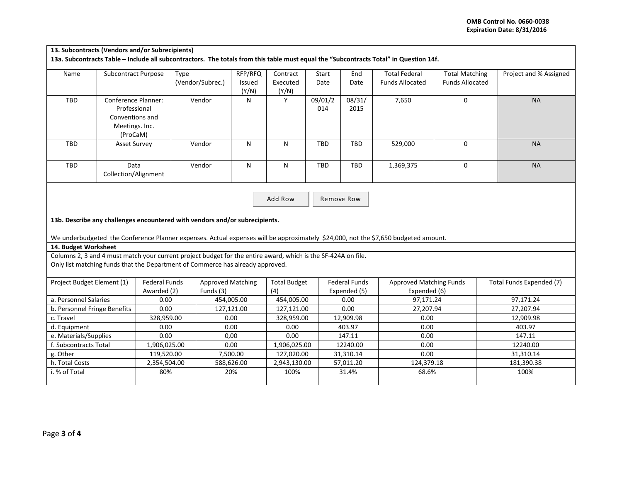| 13. Subcontracts (Vendors and/or Subrecipients)                                                                                       |                                                                                      |                                                                                                                                                                                              |                                       |                            |                                          |                |                                      |                                                                                                                                    |                                                 |                          |
|---------------------------------------------------------------------------------------------------------------------------------------|--------------------------------------------------------------------------------------|----------------------------------------------------------------------------------------------------------------------------------------------------------------------------------------------|---------------------------------------|----------------------------|------------------------------------------|----------------|--------------------------------------|------------------------------------------------------------------------------------------------------------------------------------|-------------------------------------------------|--------------------------|
| 13a. Subcontracts Table - Include all subcontractors. The totals from this table must equal the "Subcontracts Total" in Question 14f. |                                                                                      |                                                                                                                                                                                              |                                       |                            |                                          |                |                                      |                                                                                                                                    |                                                 |                          |
| Name                                                                                                                                  | Subcontract Purpose                                                                  | Type                                                                                                                                                                                         | (Vendor/Subrec.)                      | RFP/RFQ<br>Issued<br>(Y/N) | Contract<br>Executed<br>(Y/N)            | Start<br>Date  | End<br>Date                          | <b>Total Federal</b><br><b>Funds Allocated</b>                                                                                     | <b>Total Matching</b><br><b>Funds Allocated</b> | Project and % Assigned   |
| TBD                                                                                                                                   | Conference Planner:<br>Professional<br>Conventions and<br>Meetings. Inc.<br>(ProCaM) |                                                                                                                                                                                              | Vendor                                | N                          | Y                                        | 09/01/2<br>014 | 08/31/<br>2015                       | 7,650                                                                                                                              | 0                                               | <b>NA</b>                |
| <b>TBD</b>                                                                                                                            | <b>Asset Survey</b>                                                                  |                                                                                                                                                                                              | Vendor                                | N                          | N                                        | <b>TBD</b>     | TBD                                  | 529,000                                                                                                                            | $\Omega$                                        | <b>NA</b>                |
| <b>TBD</b>                                                                                                                            | Data<br>Collection/Alignment                                                         |                                                                                                                                                                                              | Vendor                                | ${\sf N}$                  | ${\sf N}$                                | <b>TBD</b>     | <b>TBD</b>                           | 1,369,375                                                                                                                          | 0                                               | <b>NA</b>                |
| 14. Budget Worksheet                                                                                                                  |                                                                                      | 13b. Describe any challenges encountered with vendors and/or subrecipients.<br>Columns 2, 3 and 4 must match your current project budget for the entire award, which is the SF-424A on file. |                                       |                            | Add Row                                  |                | Remove Row                           | We underbudgeted the Conference Planner expenses. Actual expenses will be approximately \$24,000, not the \$7,650 budgeted amount. |                                                 |                          |
|                                                                                                                                       |                                                                                      | Only list matching funds that the Department of Commerce has already approved.                                                                                                               |                                       |                            |                                          |                |                                      |                                                                                                                                    |                                                 |                          |
| Project Budget Element (1)                                                                                                            |                                                                                      | <b>Federal Funds</b><br>Awarded (2)                                                                                                                                                          | <b>Approved Matching</b><br>Funds (3) |                            | <b>Total Budget</b><br>(4)<br>454,005.00 |                | <b>Federal Funds</b><br>Expended (5) | <b>Approved Matching Funds</b><br>Expended (6)                                                                                     |                                                 | Total Funds Expended (7) |
| a. Personnel Salaries                                                                                                                 |                                                                                      | 0.00                                                                                                                                                                                         |                                       | 454,005.00                 |                                          |                | 0.00                                 | 97,171.24                                                                                                                          |                                                 | 97,171.24                |
| b. Personnel Fringe Benefits                                                                                                          |                                                                                      | 0.00                                                                                                                                                                                         | 127,121.00                            |                            | 127,121.00                               |                | 0.00                                 | 27,207.94                                                                                                                          |                                                 | 27,207.94                |
| c. Travel                                                                                                                             |                                                                                      | 328,959.00                                                                                                                                                                                   | 0.00                                  |                            | 328,959.00<br>0.00                       |                | 12,909.98                            | 0.00                                                                                                                               |                                                 | 12,909.98                |
| d. Equipment                                                                                                                          |                                                                                      | 0.00                                                                                                                                                                                         |                                       | 0.00                       |                                          |                | 403.97                               | 0.00                                                                                                                               |                                                 | 403.97                   |
| e. Materials/Supplies                                                                                                                 |                                                                                      | 0.00                                                                                                                                                                                         | 0,00                                  |                            | 0.00                                     |                | 147.11                               | 0.00                                                                                                                               |                                                 | 147.11                   |
| f. Subcontracts Total                                                                                                                 |                                                                                      | 1,906,025.00                                                                                                                                                                                 | 0.00                                  |                            | 1,906,025.00<br>127,020.00               |                | 12240.00                             | 0.00                                                                                                                               |                                                 | 12240.00                 |
| g. Other                                                                                                                              |                                                                                      | 119,520.00                                                                                                                                                                                   |                                       | 7,500.00                   |                                          |                | 31,310.14                            | 0.00                                                                                                                               |                                                 | 31,310.14                |
| h. Total Costs<br>i. % of Total                                                                                                       |                                                                                      | 2,354,504.00<br>80%                                                                                                                                                                          |                                       | 588,626.00<br>20%          |                                          | 2,943,130.00   | 57,011.20<br>31.4%                   | 124,379.18<br>68.6%                                                                                                                |                                                 | 181,390.38<br>100%       |
|                                                                                                                                       |                                                                                      |                                                                                                                                                                                              |                                       |                            | 100%                                     |                |                                      |                                                                                                                                    |                                                 |                          |